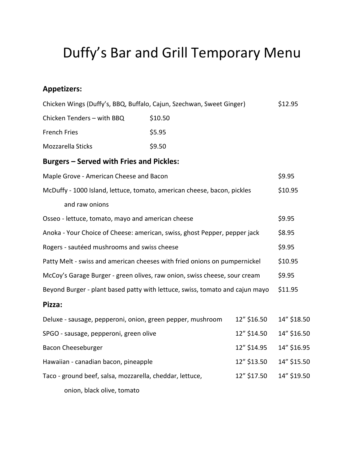## Duffy's Bar and Grill Temporary Menu

## **Appetizers:**

| Chicken Wings (Duffy's, BBQ, Buffalo, Cajun, Szechwan, Sweet Ginger)         |         |             | \$12.95     |
|------------------------------------------------------------------------------|---------|-------------|-------------|
| Chicken Tenders - with BBQ                                                   | \$10.50 |             |             |
| <b>French Fries</b>                                                          | \$5.95  |             |             |
| Mozzarella Sticks                                                            | \$9.50  |             |             |
| <b>Burgers - Served with Fries and Pickles:</b>                              |         |             |             |
| Maple Grove - American Cheese and Bacon                                      |         |             | \$9.95      |
| McDuffy - 1000 Island, lettuce, tomato, american cheese, bacon, pickles      |         |             | \$10.95     |
| and raw onions                                                               |         |             |             |
| Osseo - lettuce, tomato, mayo and american cheese                            |         |             | \$9.95      |
| Anoka - Your Choice of Cheese: american, swiss, ghost Pepper, pepper jack    |         |             | \$8.95      |
| Rogers - sautéed mushrooms and swiss cheese                                  |         |             | \$9.95      |
| Patty Melt - swiss and american cheeses with fried onions on pumpernickel    |         |             | \$10.95     |
| McCoy's Garage Burger - green olives, raw onion, swiss cheese, sour cream    |         |             | \$9.95      |
| Beyond Burger - plant based patty with lettuce, swiss, tomato and cajun mayo |         |             | \$11.95     |
| Pizza:                                                                       |         |             |             |
| Deluxe - sausage, pepperoni, onion, green pepper, mushroom                   |         | 12" \$16.50 | 14" \$18.50 |
| SPGO - sausage, pepperoni, green olive                                       |         | 12" \$14.50 | 14" \$16.50 |
| Bacon Cheeseburger                                                           |         | 12" \$14.95 | 14" \$16.95 |
| Hawaiian - canadian bacon, pineapple                                         |         | 12" \$13.50 | 14" \$15.50 |
| Taco - ground beef, salsa, mozzarella, cheddar, lettuce,                     |         | 12" \$17.50 | 14" \$19.50 |
| onion, black olive, tomato                                                   |         |             |             |